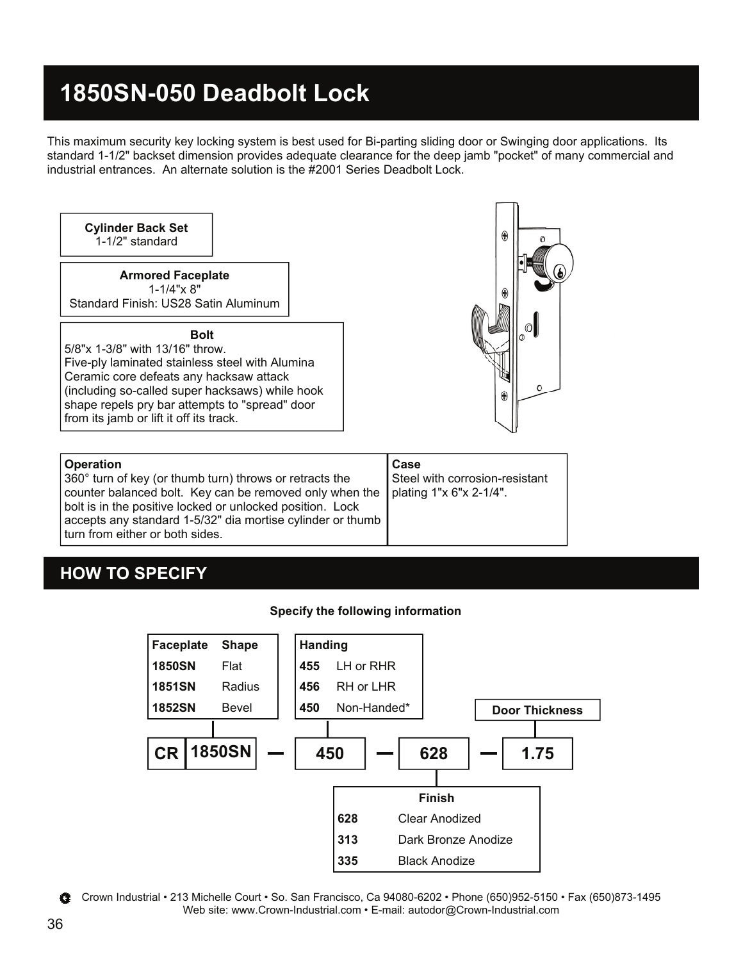## **1850SN-050 Deadbolt Lock**

accepts any standard 1-5/32" dia mortise cylinder or thumb

This maximum security key locking system is best used for Bi-parting sliding door or Swinging door applications. Its standard 1-1/2" backset dimension provides adequate clearance for the deep jamb "pocket" of many commercial and industrial entrances. An alternate solution is the #2001 Series Deadbolt Lock.



### **HOW TO SPECIFY**

turn from either or both sides.

#### **Specify the following information**



Crown Industrial • 213 Michelle Court • So. San Francisco, Ca 94080-6202 • Phone (650)952-5150 • Fax (650)873-1495 Web site: www.Crown-Industrial.com • E-mail: autodor@Crown-Industrial.com